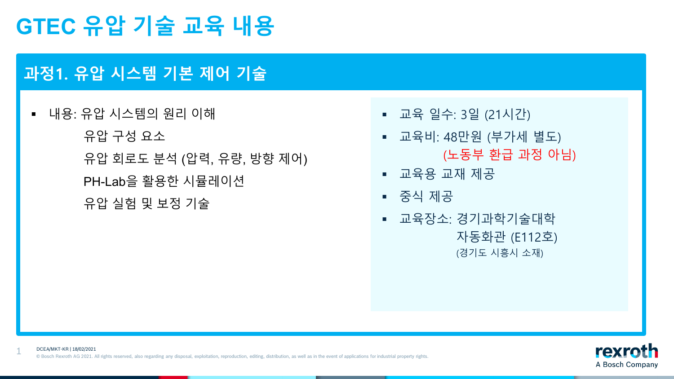### **과정1. 유압 시스템 기본 제어 기술**

1

 내용: 유압 시스템의 원리 이해 유압 구성 요소 유압 회로도 분석 (압력, 유량, 방향 제어) PH-Lab을 활용한 시뮬레이션 유압 실험 및 보정 기술

- 교육 일수: 3일 (21시간)
- 교육비: 48만원 (부가세 별도) (노동부 환급 과정 아님)
- 교육용 교재 제공
- 중식 제공
- 교육장소: 경기과학기술대학 자동화관 (E112호) (경기도 시흥시 소재)

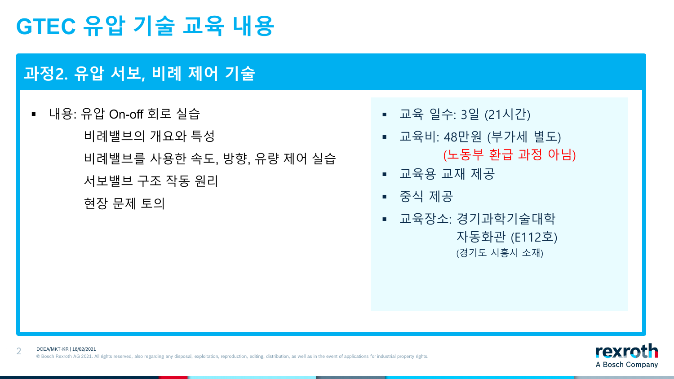### **과정2. 유압 서보, 비례 제어 기술**

2

 내용: 유압 On-off 회로 실습 비례밸브의 개요와 특성 비례밸브를 사용한 속도, 방향, 유량 제어 실습 서보밸브 구조 작동 원리 현장 문제 토의

- 교육 일수: 3일 (21시간)
- 교육비: 48만원 (부가세 별도) (노동부 환급 과정 아님)
- 교육용 교재 제공
- 중식 제공
- 교육장소: 경기과학기술대학 자동화관 (E112호) (경기도 시흥시 소재)

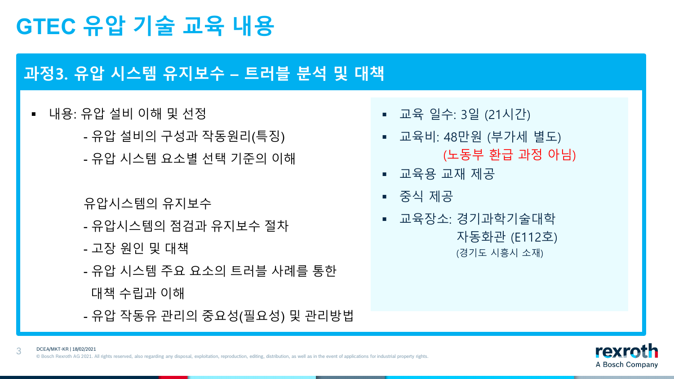### **과정3. 유압 시스템 유지보수 – 트러블 분석 및 대책**

 내용: 유압 설비 이해 및 선정 - 유압 설비의 구성과 작동원리(특징) - 유압 시스템 요소별 선택 기준의 이해

#### 유압시스템의 유지보수

- 유압시스템의 점검과 유지보수 절차
- 고장 원인 및 대책
- 유압 시스템 주요 요소의 트러블 사례를 통한
- 대책 수립과 이해
- 유압 작동유 관리의 중요성(필요성) 및 관리방법
- 교육장소: 경기과학기술대학 자동화관 (E112호) (경기도 시흥시 소재)
- 중식 제공
- 교육용 교재 제공
- 교육비: 48만원 (부가세 별도) (노동부 환급 과정 아님)
- 교육 일수: 3일 (21시간)

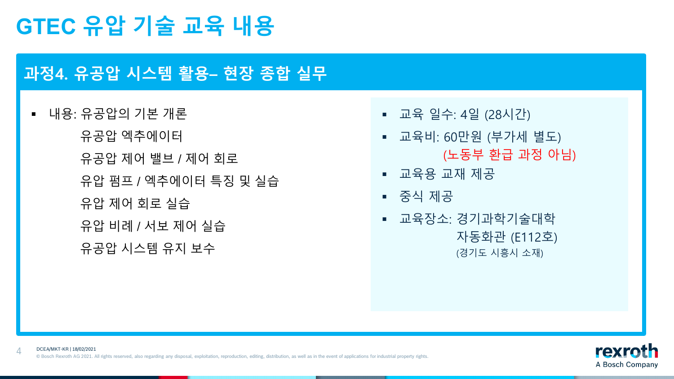### **과정4. 유공압 시스템 활용– 현장 종합 실무**

■ 내용: 유공압의 기본 개론 유공압 엑추에이터 유공압 제어 밸브 / 제어 회로 유압 펌프 / 엑추에이터 특징 및 실습 유압 제어 회로 실습 유압 비례 / 서보 제어 실습 유공압 시스템 유지 보수

4

- 교육 일수: 4일 (28시간)
- 교육비: 60만원 (부가세 별도) (노동부 환급 과정 아님)
- 교육용 교재 제공
- 중식 제공
- 교육장소: 경기과학기술대학 자동화관 (E112호) (경기도 시흥시 소재)